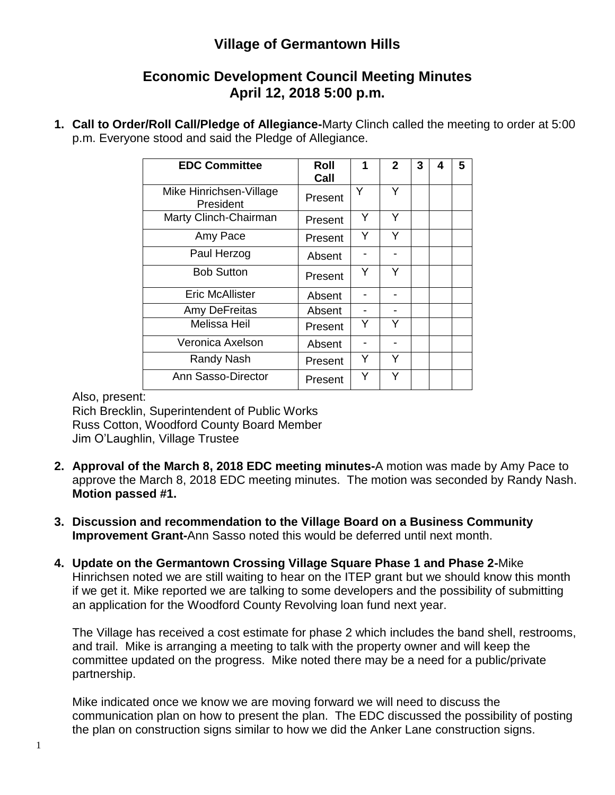## **Village of Germantown Hills**

## **Economic Development Council Meeting Minutes April 12, 2018 5:00 p.m.**

**1. Call to Order/Roll Call/Pledge of Allegiance-**Marty Clinch called the meeting to order at 5:00 p.m. Everyone stood and said the Pledge of Allegiance.

| <b>EDC Committee</b>                 | Roll<br>Call | 1 | $\mathbf{2}$ | 3 | 4 | 5 |
|--------------------------------------|--------------|---|--------------|---|---|---|
| Mike Hinrichsen-Village<br>President | Present      | Υ | Υ            |   |   |   |
| Marty Clinch-Chairman                | Present      | Y | Y            |   |   |   |
| Amy Pace                             | Present      | Y | Y            |   |   |   |
| Paul Herzog                          | Absent       |   |              |   |   |   |
| <b>Bob Sutton</b>                    | Present      | Y | Y            |   |   |   |
| <b>Eric McAllister</b>               | Absent       |   |              |   |   |   |
| Amy DeFreitas                        | Absent       |   |              |   |   |   |
| <b>Melissa Heil</b>                  | Present      | Y | Y            |   |   |   |
| Veronica Axelson                     | Absent       |   |              |   |   |   |
| Randy Nash                           | Present      | Y | Y            |   |   |   |
| Ann Sasso-Director                   | Present      | Υ | Y            |   |   |   |

Also, present:

Rich Brecklin, Superintendent of Public Works Russ Cotton, Woodford County Board Member Jim O'Laughlin, Village Trustee

- **2. Approval of the March 8, 2018 EDC meeting minutes-**A motion was made by Amy Pace to approve the March 8, 2018 EDC meeting minutes. The motion was seconded by Randy Nash. **Motion passed #1.**
- **3. Discussion and recommendation to the Village Board on a Business Community Improvement Grant-**Ann Sasso noted this would be deferred until next month.
- **4. Update on the Germantown Crossing Village Square Phase 1 and Phase 2-**Mike Hinrichsen noted we are still waiting to hear on the ITEP grant but we should know this month if we get it. Mike reported we are talking to some developers and the possibility of submitting an application for the Woodford County Revolving loan fund next year.

The Village has received a cost estimate for phase 2 which includes the band shell, restrooms, and trail. Mike is arranging a meeting to talk with the property owner and will keep the committee updated on the progress. Mike noted there may be a need for a public/private partnership.

Mike indicated once we know we are moving forward we will need to discuss the communication plan on how to present the plan. The EDC discussed the possibility of posting the plan on construction signs similar to how we did the Anker Lane construction signs.